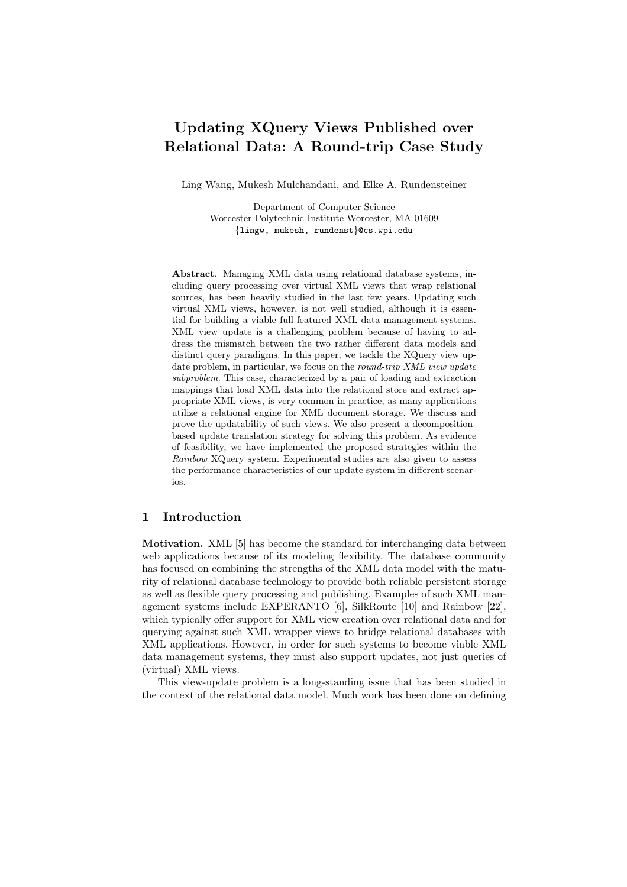# Updating XQuery Views Published over Relational Data: A Round-trip Case Study

Ling Wang, Mukesh Mulchandani, and Elke A. Rundensteiner

Department of Computer Science Worcester Polytechnic Institute Worcester, MA 01609 {lingw, mukesh, rundenst}@cs.wpi.edu

Abstract. Managing XML data using relational database systems, including query processing over virtual XML views that wrap relational sources, has been heavily studied in the last few years. Updating such virtual XML views, however, is not well studied, although it is essential for building a viable full-featured XML data management systems. XML view update is a challenging problem because of having to address the mismatch between the two rather different data models and distinct query paradigms. In this paper, we tackle the XQuery view update problem, in particular, we focus on the round-trip XML view update subproblem. This case, characterized by a pair of loading and extraction mappings that load XML data into the relational store and extract appropriate XML views, is very common in practice, as many applications utilize a relational engine for XML document storage. We discuss and prove the updatability of such views. We also present a decompositionbased update translation strategy for solving this problem. As evidence of feasibility, we have implemented the proposed strategies within the Rainbow XQuery system. Experimental studies are also given to assess the performance characteristics of our update system in different scenarios.

#### 1 Introduction

Motivation. XML [5] has become the standard for interchanging data between web applications because of its modeling flexibility. The database community has focused on combining the strengths of the XML data model with the maturity of relational database technology to provide both reliable persistent storage as well as flexible query processing and publishing. Examples of such XML management systems include EXPERANTO [6], SilkRoute [10] and Rainbow [22], which typically offer support for XML view creation over relational data and for querying against such XML wrapper views to bridge relational databases with XML applications. However, in order for such systems to become viable XML data management systems, they must also support updates, not just queries of (virtual) XML views.

This view-update problem is a long-standing issue that has been studied in the context of the relational data model. Much work has been done on defining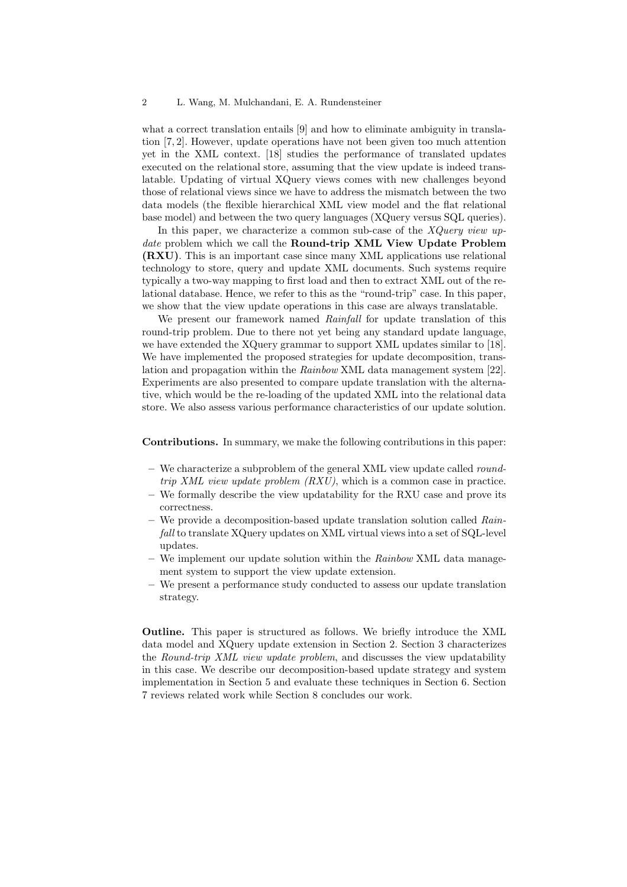what a correct translation entails [9] and how to eliminate ambiguity in translation [7, 2]. However, update operations have not been given too much attention yet in the XML context. [18] studies the performance of translated updates executed on the relational store, assuming that the view update is indeed translatable. Updating of virtual XQuery views comes with new challenges beyond those of relational views since we have to address the mismatch between the two data models (the flexible hierarchical XML view model and the flat relational base model) and between the two query languages (XQuery versus SQL queries).

In this paper, we characterize a common sub-case of the  $XQuery$  view update problem which we call the Round-trip XML View Update Problem (RXU). This is an important case since many XML applications use relational technology to store, query and update XML documents. Such systems require typically a two-way mapping to first load and then to extract XML out of the relational database. Hence, we refer to this as the "round-trip" case. In this paper, we show that the view update operations in this case are always translatable.

We present our framework named Rainfall for update translation of this round-trip problem. Due to there not yet being any standard update language, we have extended the XQuery grammar to support XML updates similar to [18]. We have implemented the proposed strategies for update decomposition, translation and propagation within the Rainbow XML data management system [22]. Experiments are also presented to compare update translation with the alternative, which would be the re-loading of the updated XML into the relational data store. We also assess various performance characteristics of our update solution.

Contributions. In summary, we make the following contributions in this paper:

- We characterize a subproblem of the general XML view update called roundtrip XML view update problem  $(RXU)$ , which is a common case in practice.
- We formally describe the view updatability for the RXU case and prove its correctness.
- We provide a decomposition-based update translation solution called  $Rain$ fall to translate XQuery updates on XML virtual views into a set of SQL-level updates.
- $-$  We implement our update solution within the  $Rainbow$  XML data management system to support the view update extension.
- We present a performance study conducted to assess our update translation strategy.

Outline. This paper is structured as follows. We briefly introduce the XML data model and XQuery update extension in Section 2. Section 3 characterizes the Round-trip XML view update problem, and discusses the view updatability in this case. We describe our decomposition-based update strategy and system implementation in Section 5 and evaluate these techniques in Section 6. Section 7 reviews related work while Section 8 concludes our work.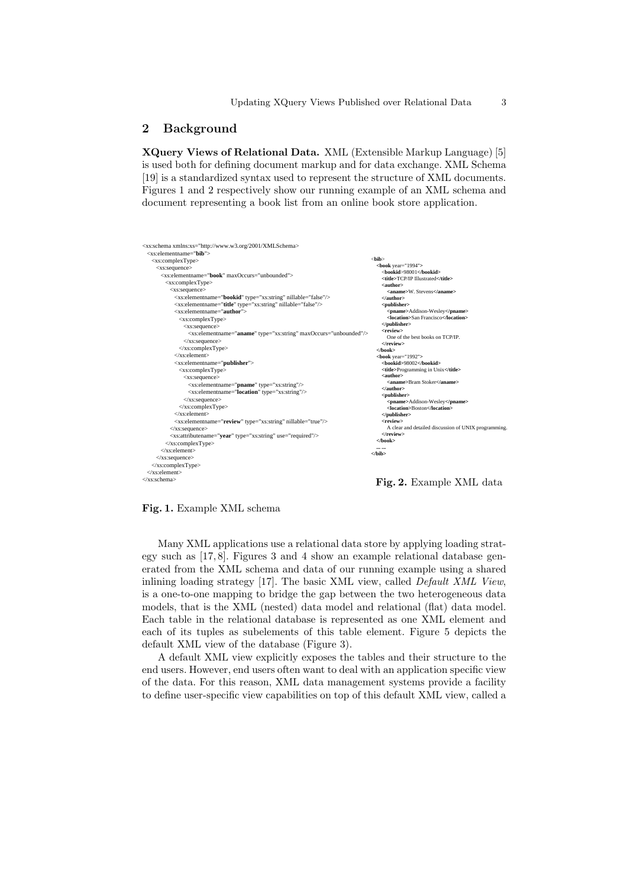### 2 Background

XQuery Views of Relational Data. XML (Extensible Markup Language) [5] is used both for defining document markup and for data exchange. XML Schema [19] is a standardized syntax used to represent the structure of XML documents. Figures 1 and 2 respectively show our running example of an XML schema and document representing a book list from an online book store application.

| <xs:schema bib"="" xmlns:xs="http://www.w3.org/2001/XMLSchema&gt;&lt;/th&gt;&lt;th&gt;&lt;/th&gt;&lt;/tr&gt;&lt;tr&gt;&lt;td&gt;&lt;math&gt;&lt;&lt;/math&gt;xs: element name="><td></td></xs:schema> |                                                             |
|-------------------------------------------------------------------------------------------------------------------------------------------------------------------------------------------------------|-------------------------------------------------------------|
| <xs:complextype></xs:complextype>                                                                                                                                                                     | <br>hib>                                                    |
| <xs:sequence></xs:sequence>                                                                                                                                                                           | $<$ book year="1994">                                       |
| <xs:elementname="book" maxoccurs="unbounded"></xs:elementname="book">                                                                                                                                 | <bookid>98001</bookid><br><title>TCP/IP Illustrated</title> |
| <xs:complextype></xs:complextype>                                                                                                                                                                     | <author></author>                                           |
| $<$ xs:sequence>                                                                                                                                                                                      | <aname>W. Stevens</aname>                                   |
| <xs:elementname="<b>bookid" type="xs:string" nillable="false"/&gt;</xs:elementname="<b>                                                                                                               | $<$ /author>                                                |
| <xs:elementname="title" nillable="false" type="xs:string"></xs:elementname="title">                                                                                                                   | <publisher></publisher>                                     |
| <xs:elementname="author"></xs:elementname="author">                                                                                                                                                   | <pname>Addison-Wesley</pname>                               |
| $<$ xs:complexType>                                                                                                                                                                                   | <location>San Francisco</location>                          |
| <xs:sequence></xs:sequence>                                                                                                                                                                           |                                                             |
| <xs:elementname="aname" maxoccurs="unbounded" type="xs:string"></xs:elementname="aname">                                                                                                              | <review><br/>One of the best books on TCP/IP.</review>      |
| $\langle x$ s:sequence>                                                                                                                                                                               |                                                             |
|                                                                                                                                                                                                       |                                                             |
|                                                                                                                                                                                                       | $<$ book year="1992">                                       |
| <xs:elementname="publisher"></xs:elementname="publisher">                                                                                                                                             | <bookid>98002</bookid>                                      |
| <xs:complextype></xs:complextype>                                                                                                                                                                     | <title>Programming in Unix</title>                          |
| <xs:sequence></xs:sequence>                                                                                                                                                                           | <author></author>                                           |
| <xs:elementname="pname" type="xs:string"></xs:elementname="pname">                                                                                                                                    | <aname>Bram Stoker</aname>                                  |
| <xs:elementname="location" type="xs:string"></xs:elementname="location">                                                                                                                              | $<$ /author>                                                |
| $\langle x$ s:sequence>                                                                                                                                                                               | <publisher><br/><pname>Addison-Wesley</pname></publisher>   |
| $\langle x$ s:complexType>                                                                                                                                                                            | <location>Boston</location>                                 |
|                                                                                                                                                                                                       |                                                             |
| <xs:elementname="review" nillable="true" type="xs:string"></xs:elementname="review">                                                                                                                  | <review></review>                                           |
| $\langle x$ s:sequence>                                                                                                                                                                               | A clear and detailed discussion of UNIX programming.        |
| <xs:attributename="year" type="xs:string" use="required"></xs:attributename="year">                                                                                                                   |                                                             |
| $\langle x$ s:complexType>                                                                                                                                                                            | $<$ /book $>$                                               |
|                                                                                                                                                                                                       | <br>$<$ /bib>                                               |
| $\langle$ xs:sequence>                                                                                                                                                                                |                                                             |
|                                                                                                                                                                                                       |                                                             |
|                                                                                                                                                                                                       |                                                             |
|                                                                                                                                                                                                       | <b>Fig. 2.</b> Example XML data                             |

Fig. 1. Example XML schema

Many XML applications use a relational data store by applying loading strategy such as [17, 8]. Figures 3 and 4 show an example relational database generated from the XML schema and data of our running example using a shared inlining loading strategy  $[17]$ . The basic XML view, called *Default XML View*, is a one-to-one mapping to bridge the gap between the two heterogeneous data models, that is the XML (nested) data model and relational (flat) data model. Each table in the relational database is represented as one XML element and each of its tuples as subelements of this table element. Figure 5 depicts the default XML view of the database (Figure 3).

A default XML view explicitly exposes the tables and their structure to the end users. However, end users often want to deal with an application specific view of the data. For this reason, XML data management systems provide a facility to define user-specific view capabilities on top of this default XML view, called a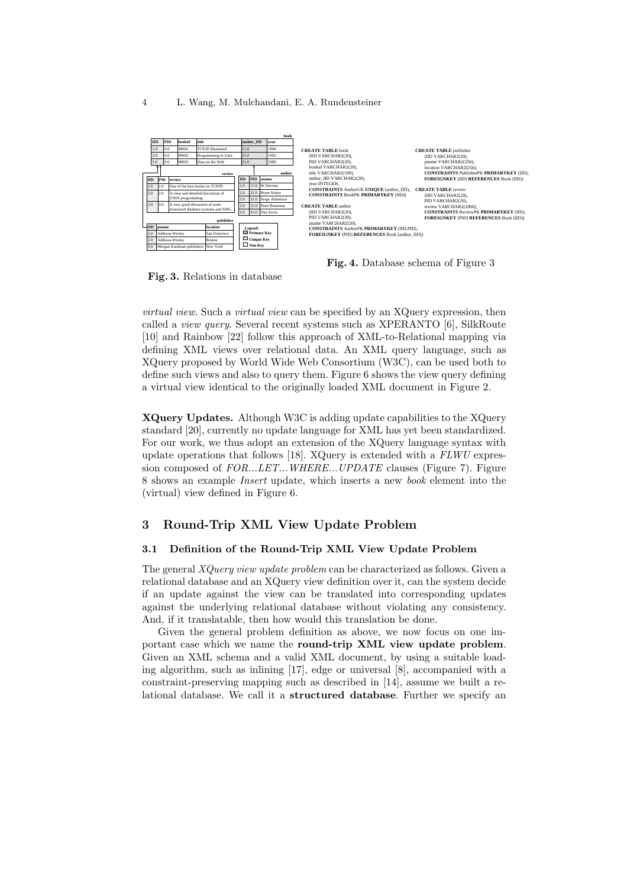

Fig. 3. Relations in database



virtual view. Such a virtual view can be specified by an XQuery expression, then called a view query. Several recent systems such as XPERANTO [6], SilkRoute [10] and Rainbow [22] follow this approach of XML-to-Relational mapping via defining XML views over relational data. An XML query language, such as XQuery proposed by World Wide Web Consortium (W3C), can be used both to define such views and also to query them. Figure 6 shows the view query defining a virtual view identical to the originally loaded XML document in Figure 2.

XQuery Updates. Although W3C is adding update capabilities to the XQuery standard [20], currently no update language for XML has yet been standardized. For our work, we thus adopt an extension of the XQuery language syntax with update operations that follows [18]. XQuery is extended with a FLWU expression composed of  $FOR...LET...WHERE...UPDATE$  clauses (Figure 7). Figure 8 shows an example Insert update, which inserts a new book element into the (virtual) view defined in Figure 6.

# 3 Round-Trip XML View Update Problem

#### 3.1 Definition of the Round-Trip XML View Update Problem

The general XQuery view update problem can be characterized as follows. Given a relational database and an XQuery view definition over it, can the system decide if an update against the view can be translated into corresponding updates against the underlying relational database without violating any consistency. And, if it translatable, then how would this translation be done.

Given the general problem definition as above, we now focus on one important case which we name the round-trip XML view update problem. Given an XML schema and a valid XML document, by using a suitable loading algorithm, such as inlining [17], edge or universal [8], accompanied with a constraint-preserving mapping such as described in [14], assume we built a relational database. We call it a structured database. Further we specify an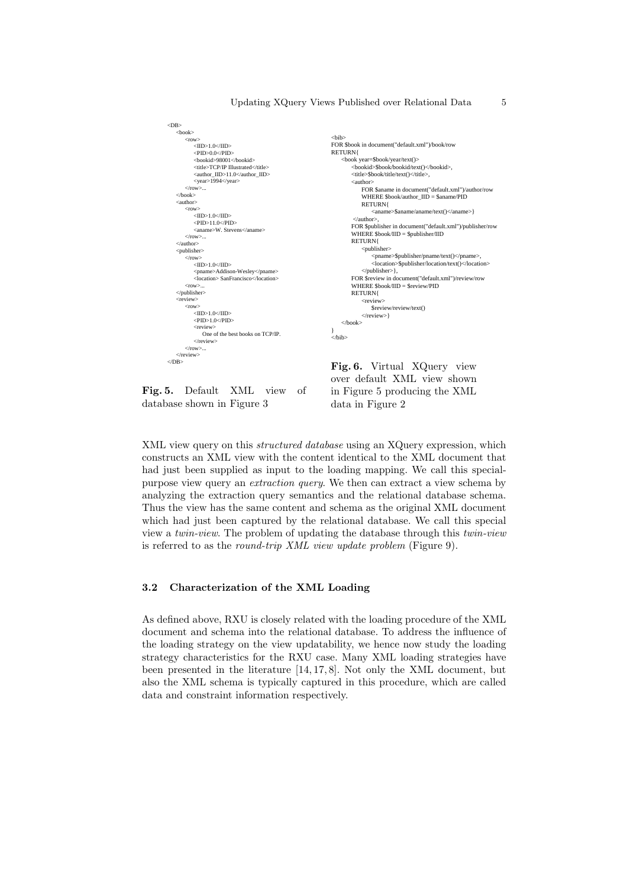```
\epsilonDBS
    \simbook\sim<row>
            <IID>1.0</IID>
             <PID>0.0</PID><br><bookid>98001</bookid>
            <title>TCP/IP Illustrated</title>
             <author_IID>11.0</author_IID>
            <year>1994</year>
        \epsilon/row
    < book
    <author>
        <row:
            \langleIID>1.0\langleIID:
            \langlePID>11.0\langlePID>
               aname>W. Stevens</anam
        \langlerow\rangle...
   </author>
    <publisher>
        </row>
            <IID>1.0</IID>
             <pname>Addison-Wesley</pname>
<location> SanFrancisco</location>
        <row></publisher>
    <review>
         <row>
<IID>1.0</IID>
            <PID>1.0</PID>
            <review>
                One of the best books on TCP/IP
            \langlereview>
        \epsilon/row\sim</review>
</DB>
```

```
\mathsf{<}hih\mathsf{<}FOR $book in document("default.xml")/book/row
RETURN{
    <book year=$book/year/text()>
        <bookid>$book/bookid/text()</bookid>,
        <title>$book/title/text()</title>,
        <author>
            FOR $aname in document("default.xml")/author/row
             WHERE $book/author IID = $aname/PID
            RETURN{
                 <aname>$aname/aname/text()</aname>}
         </author>,
         FOR $publisher in document("default.xml")/publisher/row
WHERE $book/IID = $publisher/IID
        RETURN{
             <publisher>
                 <pname>$publisher/pname/text()</pname>,
<location>$publisher/location/text()</location>
             </publisher>},
        FOR $review in document("default.xml")/review/row
        WHERE $book/IID = $review/PID
        RETURN{
             <review>
                $review/review/text()
            </review>}
    </book>
}
</bib>
```
Fig. 5. Default XML view of database shown in Figure 3

Fig. 6. Virtual XQuery view over default XML view shown in Figure 5 producing the XML data in Figure 2

XML view query on this *structured database* using an XQuery expression, which constructs an XML view with the content identical to the XML document that had just been supplied as input to the loading mapping. We call this specialpurpose view query an extraction query. We then can extract a view schema by analyzing the extraction query semantics and the relational database schema. Thus the view has the same content and schema as the original XML document which had just been captured by the relational database. We call this special view a twin-view. The problem of updating the database through this twin-view is referred to as the round-trip XML view update problem (Figure 9).

#### 3.2 Characterization of the XML Loading

As defined above, RXU is closely related with the loading procedure of the XML document and schema into the relational database. To address the influence of the loading strategy on the view updatability, we hence now study the loading strategy characteristics for the RXU case. Many XML loading strategies have been presented in the literature [14, 17, 8]. Not only the XML document, but also the XML schema is typically captured in this procedure, which are called data and constraint information respectively.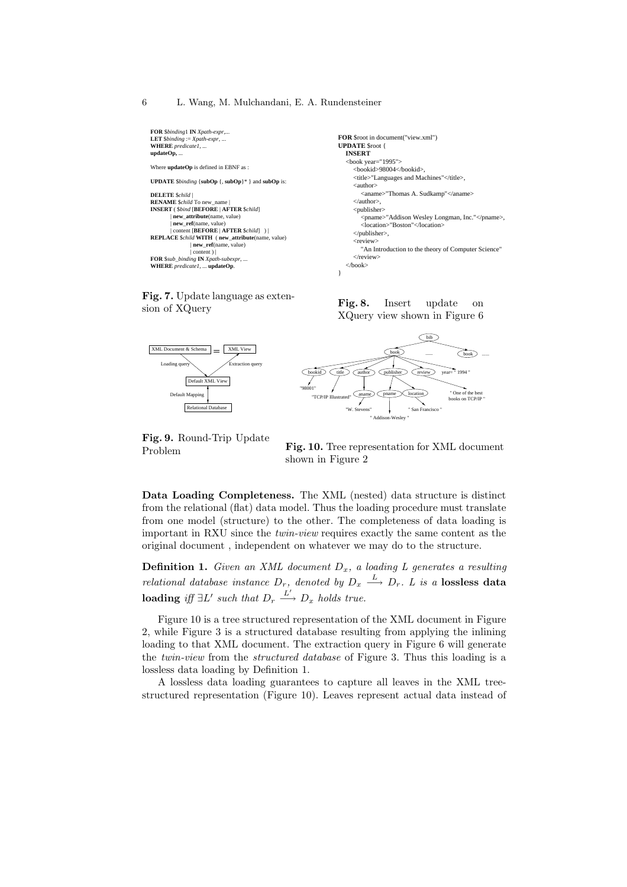```
FOR $binding1 IN Xpath-expr,...
LET $binding := Xpath-expr, ...
WHERE predicate1, ...
updateOp, ...
Where undateOn is defined in EBNF as :
UPDATE $binding {subOp {, subOp}* } and subOp is:
DELETE $child |
RENAME Schild To new_name
INSERT ( $bind [BEFORE | AFTER $child]
        | new_attribute(name, value)
        | new_ref(name, value)
| content [BEFORE | AFTER $child] ) |
REPLACE $child WITH ( new_attribute(name, value)
               | new_ref(name, value)
               | content ) |
FOR $sub_binding IN Xpath-subexpr, ...
WHERE predicate1, ... updateOp.
                                                                       FOR $root in document("view.yml")
                                                                       UPDATE $root {
                                                                         INSERT
                                                                          <book year="1995">
                                                                            <br/>bookid>98004</bookid>,
                                                                            <title>"Languages and Machines"</title>,
                                                                            <author>
                                                                               <aname>"Thomas A. Sudkamp"</aname>
                                                                            </author>,
                                                                            <publisher>
                                                                               <pname>"Addison Wesley Longman, Inc."</pname>,
                                                                               <location>"Boston"</location>
                                                                            </publisher>,
                                                                            \simreview\sim"An Introduction to the theory of Computer Science"
                                                                             </review>
                                                                          </book>
                                                                       }
```






Fig. 9. Round-Trip Update Problem

Fig. 10. Tree representation for XML document shown in Figure 2

Data Loading Completeness. The XML (nested) data structure is distinct from the relational (flat) data model. Thus the loading procedure must translate from one model (structure) to the other. The completeness of data loading is important in RXU since the twin-view requires exactly the same content as the original document , independent on whatever we may do to the structure.

**Definition 1.** Given an XML document  $D_x$ , a loading L generates a resulting relational database instance  $D_r$ , denoted by  $D_x \stackrel{L}{\longrightarrow} D_r$ . L is a lossless data loading iff  $\exists L'$  such that  $D_r \stackrel{L'}{\longrightarrow} D_x$  holds true.

Figure 10 is a tree structured representation of the XML document in Figure 2, while Figure 3 is a structured database resulting from applying the inlining loading to that XML document. The extraction query in Figure 6 will generate the *twin-view* from the *structured database* of Figure 3. Thus this loading is a lossless data loading by Definition 1.

A lossless data loading guarantees to capture all leaves in the XML treestructured representation (Figure 10). Leaves represent actual data instead of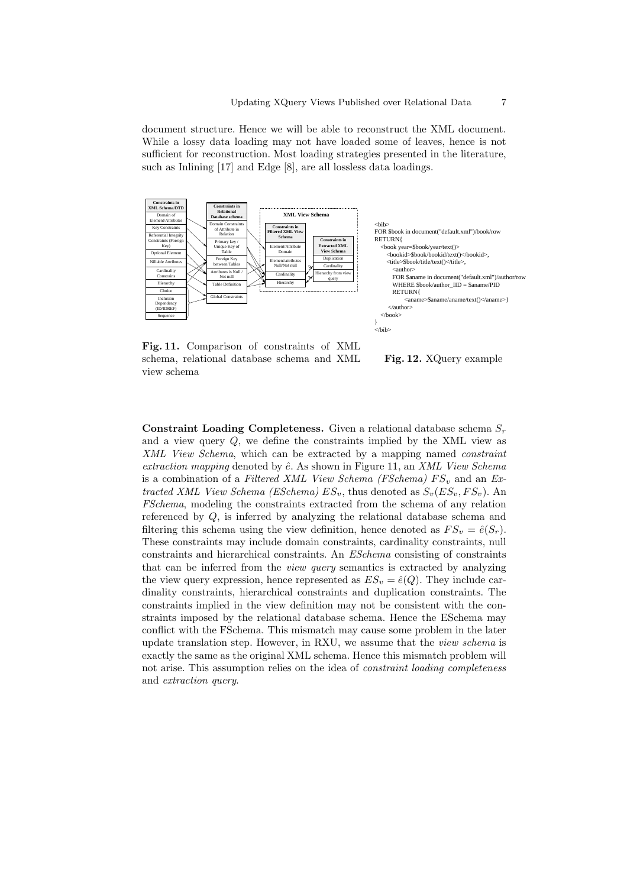document structure. Hence we will be able to reconstruct the XML document. While a lossy data loading may not have loaded some of leaves, hence is not sufficient for reconstruction. Most loading strategies presented in the literature, such as Inlining [17] and Edge [8], are all lossless data loadings.





Fig. 11. Comparison of constraints of XML schema, relational database schema and XML view schema



**Constraint Loading Completeness.** Given a relational database schema  $S_r$ and a view query  $Q$ , we define the constraints implied by the XML view as XML View Schema, which can be extracted by a mapping named constraint extraction mapping denoted by  $\hat{e}$ . As shown in Figure 11, an XML View Schema is a combination of a Filtered XML View Schema (FSchema)  $FS_v$  and an Extracted XML View Schema (ESchema)  $ES_v$ , thus denoted as  $S_v(ES_v, FS_v)$ . An FSchema, modeling the constraints extracted from the schema of any relation referenced by Q, is inferred by analyzing the relational database schema and filtering this schema using the view definition, hence denoted as  $FS_v = \hat{e}(S_r)$ . These constraints may include domain constraints, cardinality constraints, null constraints and hierarchical constraints. An ESchema consisting of constraints that can be inferred from the view query semantics is extracted by analyzing the view query expression, hence represented as  $ES_v = \hat{e}(Q)$ . They include cardinality constraints, hierarchical constraints and duplication constraints. The constraints implied in the view definition may not be consistent with the constraints imposed by the relational database schema. Hence the ESchema may conflict with the FSchema. This mismatch may cause some problem in the later update translation step. However, in RXU, we assume that the view schema is exactly the same as the original XML schema. Hence this mismatch problem will not arise. This assumption relies on the idea of *constraint loading completeness* and extraction query.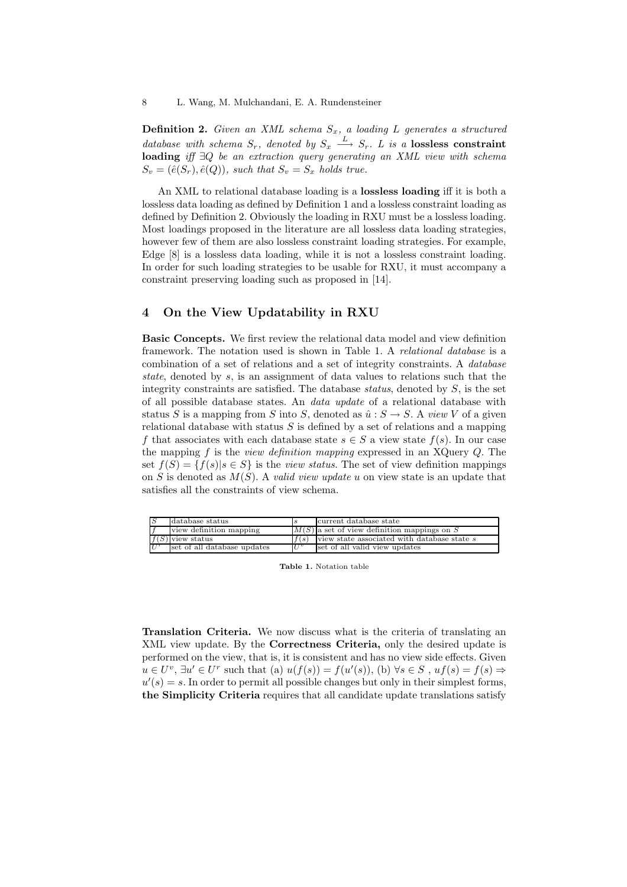**Definition 2.** Given an XML schema  $S_x$ , a loading L generates a structured database with schema  $S_r$ , denoted by  $S_x \stackrel{L}{\longrightarrow} S_r$ . L is a lossless constraint loading iff ∃Q be an extraction query generating an XML view with schema  $S_v = (\hat{e}(S_r), \hat{e}(Q))$ , such that  $S_v = S_x$  holds true.

An XML to relational database loading is a **lossless loading** iff it is both a lossless data loading as defined by Definition 1 and a lossless constraint loading as defined by Definition 2. Obviously the loading in RXU must be a lossless loading. Most loadings proposed in the literature are all lossless data loading strategies, however few of them are also lossless constraint loading strategies. For example, Edge [8] is a lossless data loading, while it is not a lossless constraint loading. In order for such loading strategies to be usable for RXU, it must accompany a constraint preserving loading such as proposed in [14].

### 4 On the View Updatability in RXU

Basic Concepts. We first review the relational data model and view definition framework. The notation used is shown in Table 1. A relational database is a combination of a set of relations and a set of integrity constraints. A *database* state, denoted by s, is an assignment of data values to relations such that the integrity constraints are satisfied. The database *status*, denoted by  $S$ , is the set of all possible database states. An data update of a relational database with status S is a mapping from S into S, denoted as  $\hat{u}: S \to S$ . A view V of a given relational database with status  $S$  is defined by a set of relations and a mapping f that associates with each database state  $s \in S$  a view state  $f(s)$ . In our case the mapping f is the view definition mapping expressed in an XQuery  $Q$ . The set  $f(S) = \{f(s) | s \in S\}$  is the *view status*. The set of view definition mappings on S is denoted as  $M(S)$ . A valid view update u on view state is an update that satisfies all the constraints of view schema.

|       | database status             |       | current database state                             |
|-------|-----------------------------|-------|----------------------------------------------------|
|       | view definition mapping     |       | $M(S)$ a set of view definition mappings on S      |
|       | $f(S)$ view status          |       | $f(s)$ view state associated with database state s |
| $H^T$ | set of all database updates | $H^v$ | set of all valid view updates                      |

Table 1. Notation table

Translation Criteria. We now discuss what is the criteria of translating an XML view update. By the Correctness Criteria, only the desired update is performed on the view, that is, it is consistent and has no view side effects. Given  $u \in U^v$ ,  $\exists u' \in U^r$  such that (a)  $u(f(s)) = f(u'(s))$ , (b)  $\forall s \in S$ ,  $uf(s) = f(s) \Rightarrow$  $u'(s) = s$ . In order to permit all possible changes but only in their simplest forms, the Simplicity Criteria requires that all candidate update translations satisfy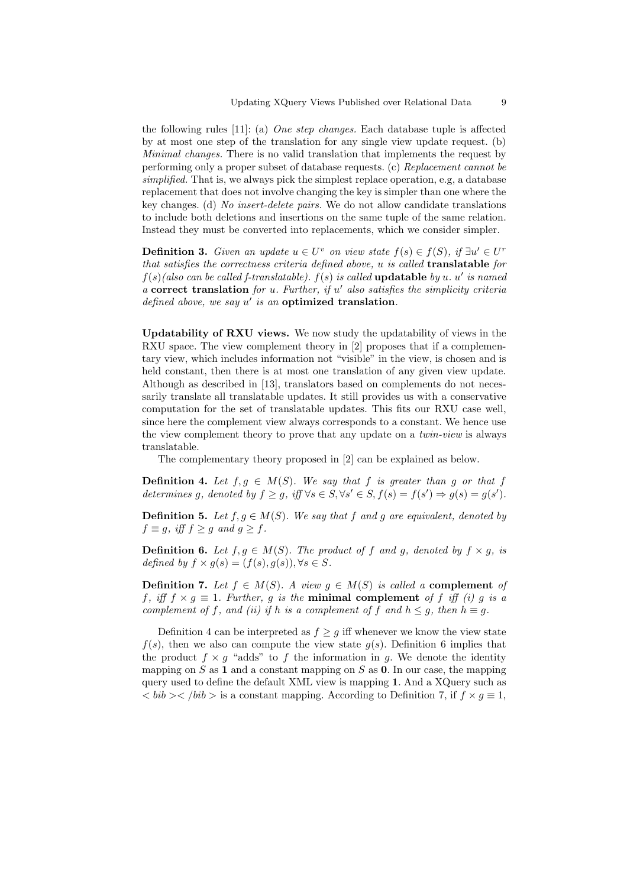the following rules [11]: (a) One step changes. Each database tuple is affected by at most one step of the translation for any single view update request. (b) Minimal changes. There is no valid translation that implements the request by performing only a proper subset of database requests. (c) Replacement cannot be simplified. That is, we always pick the simplest replace operation, e.g, a database replacement that does not involve changing the key is simpler than one where the key changes. (d) No insert-delete pairs. We do not allow candidate translations to include both deletions and insertions on the same tuple of the same relation. Instead they must be converted into replacements, which we consider simpler.

**Definition 3.** Given an update  $u \in U^v$  on view state  $f(s) \in f(S)$ , if  $\exists u' \in U^r$ that satisfies the correctness criteria defined above, u is called translatable for  $f(s)(also can be called f-translatable).$   $\tilde{f}(s)$  is called **updatable** by u. u' is named  $a$  correct translation for  $u$ . Further, if  $u'$  also satisfies the simplicity criteria defined above, we say  $u'$  is an optimized translation.

Updatability of RXU views. We now study the updatability of views in the RXU space. The view complement theory in [2] proposes that if a complementary view, which includes information not "visible" in the view, is chosen and is held constant, then there is at most one translation of any given view update. Although as described in [13], translators based on complements do not necessarily translate all translatable updates. It still provides us with a conservative computation for the set of translatable updates. This fits our RXU case well, since here the complement view always corresponds to a constant. We hence use the view complement theory to prove that any update on a twin-view is always translatable.

The complementary theory proposed in [2] can be explained as below.

**Definition 4.** Let  $f, g \in M(S)$ . We say that f is greater than g or that f determines g, denoted by  $f \geq g$ , iff  $\forall s \in S, \forall s' \in S, f(s) = f(s') \Rightarrow g(s) = g(s')$ .

**Definition 5.** Let  $f, g \in M(S)$ . We say that f and g are equivalent, denoted by  $f \equiv g$ , iff  $f \ge g$  and  $g \ge f$ .

**Definition 6.** Let  $f, g \in M(S)$ . The product of f and g, denoted by  $f \times g$ , is defined by  $f \times g(s) = (f(s), g(s)), \forall s \in S$ .

**Definition 7.** Let  $f \in M(S)$ . A view  $q \in M(S)$  is called a **complement** of f, iff  $f \times g \equiv 1$ . Further, g is the minimal complement of f iff (i) g is a complement of f, and (ii) if h is a complement of f and  $h \leq g$ , then  $h \equiv g$ .

Definition 4 can be interpreted as  $f \ge g$  iff whenever we know the view state  $f(s)$ , then we also can compute the view state  $g(s)$ . Definition 6 implies that the product  $f \times g$  "adds" to f the information in g. We denote the identity mapping on S as 1 and a constant mapping on S as  $0$ . In our case, the mapping query used to define the default XML view is mapping 1. And a XQuery such as  **is a constant mapping. According to Definition 7, if**  $f \times g \equiv 1$ **,**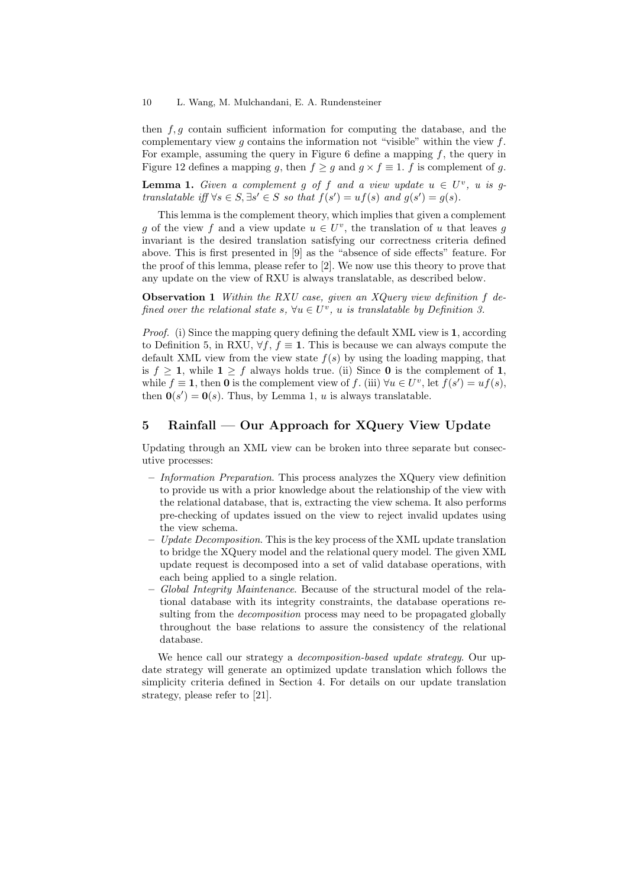then  $f, g$  contain sufficient information for computing the database, and the complementary view g contains the information not "visible" within the view  $f$ . For example, assuming the query in Figure  $6$  define a mapping  $f$ , the query in Figure 12 defines a mapping g, then  $f \ge g$  and  $g \times f \equiv 1$ . f is complement of g. **Lemma 1.** Given a complement g of f and a view update  $u \in U^v$ , u is g-

translatable iff  $\forall s \in S, \exists s' \in S$  so that  $f(s') = uf(s)$  and  $g(s') = g(s)$ .

This lemma is the complement theory, which implies that given a complement g of the view f and a view update  $u \in U^v$ , the translation of u that leaves g invariant is the desired translation satisfying our correctness criteria defined above. This is first presented in [9] as the "absence of side effects" feature. For the proof of this lemma, please refer to [2]. We now use this theory to prove that any update on the view of RXU is always translatable, as described below.

**Observation 1** Within the RXU case, given an XQuery view definition  $f$  defined over the relational state s,  $\forall u \in U^v$ , u is translatable by Definition 3.

Proof. (i) Since the mapping query defining the default XML view is 1, according to Definition 5, in RXU,  $\forall f, f \equiv 1$ . This is because we can always compute the default XML view from the view state  $f(s)$  by using the loading mapping, that is  $f \geq 1$ , while  $1 \geq f$  always holds true. (ii) Since **0** is the complement of 1, while  $f \equiv 1$ , then **0** is the complement view of f. (iii)  $\forall u \in U^v$ , let  $f(s') = uf(s)$ , then  $\mathbf{0}(s') = \mathbf{0}(s)$ . Thus, by Lemma 1, u is always translatable.

## 5 Rainfall — Our Approach for XQuery View Update

Updating through an XML view can be broken into three separate but consecutive processes:

- Information Preparation. This process analyzes the XQuery view definition to provide us with a prior knowledge about the relationship of the view with the relational database, that is, extracting the view schema. It also performs pre-checking of updates issued on the view to reject invalid updates using the view schema.
- $-$  Update Decomposition. This is the key process of the XML update translation to bridge the XQuery model and the relational query model. The given XML update request is decomposed into a set of valid database operations, with each being applied to a single relation.
- Global Integrity Maintenance. Because of the structural model of the relational database with its integrity constraints, the database operations resulting from the *decomposition* process may need to be propagated globally throughout the base relations to assure the consistency of the relational database.

We hence call our strategy a *decomposition-based update strategy*. Our update strategy will generate an optimized update translation which follows the simplicity criteria defined in Section 4. For details on our update translation strategy, please refer to [21].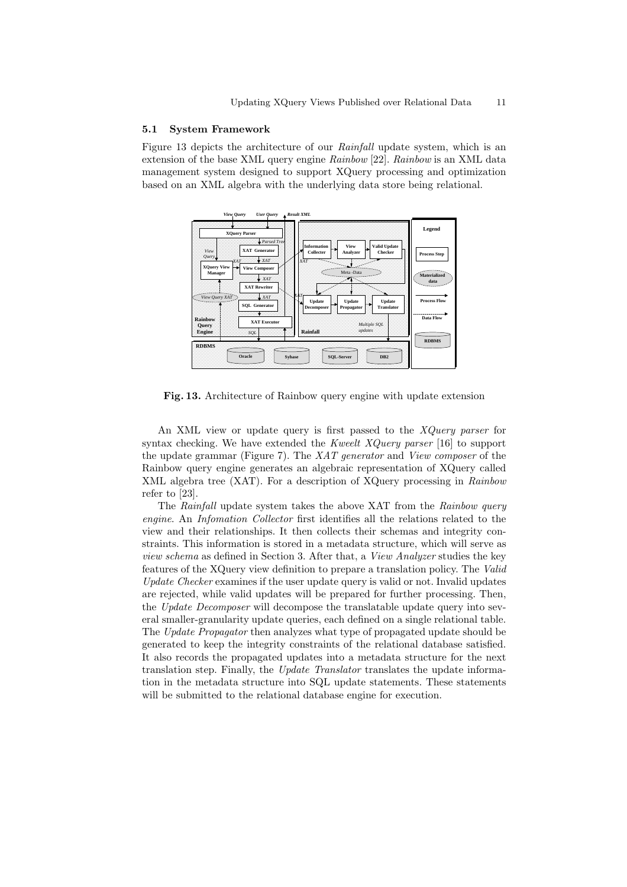#### 5.1 System Framework

Figure 13 depicts the architecture of our *Rainfall* update system, which is an extension of the base XML query engine Rainbow [22]. Rainbow is an XML data management system designed to support XQuery processing and optimization based on an XML algebra with the underlying data store being relational.



Fig. 13. Architecture of Rainbow query engine with update extension

An XML view or update query is first passed to the XQuery parser for syntax checking. We have extended the Kweelt XQuery parser [16] to support the update grammar (Figure 7). The XAT generator and View composer of the Rainbow query engine generates an algebraic representation of XQuery called XML algebra tree (XAT). For a description of XQuery processing in Rainbow refer to [23].

The Rainfall update system takes the above XAT from the Rainbow query engine. An Infomation Collector first identifies all the relations related to the view and their relationships. It then collects their schemas and integrity constraints. This information is stored in a metadata structure, which will serve as view schema as defined in Section 3. After that, a View Analyzer studies the key features of the XQuery view definition to prepare a translation policy. The Valid Update Checker examines if the user update query is valid or not. Invalid updates are rejected, while valid updates will be prepared for further processing. Then, the Update Decomposer will decompose the translatable update query into several smaller-granularity update queries, each defined on a single relational table. The Update Propagator then analyzes what type of propagated update should be generated to keep the integrity constraints of the relational database satisfied. It also records the propagated updates into a metadata structure for the next translation step. Finally, the Update Translator translates the update information in the metadata structure into SQL update statements. These statements will be submitted to the relational database engine for execution.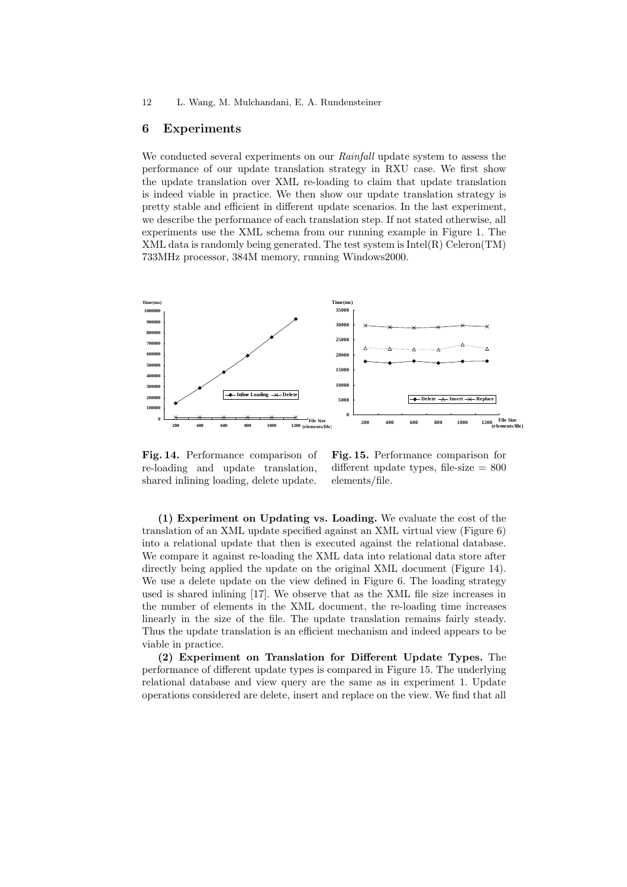#### 6 Experiments

We conducted several experiments on our *Rainfall* update system to assess the performance of our update translation strategy in RXU case. We first show the update translation over XML re-loading to claim that update translation is indeed viable in practice. We then show our update translation strategy is pretty stable and efficient in different update scenarios. In the last experiment, we describe the performance of each translation step. If not stated otherwise, all experiments use the XML schema from our running example in Figure 1. The XML data is randomly being generated. The test system is  $Intel(R)$  Celeron(TM) 733MHz processor, 384M memory, running Windows2000.



Fig. 14. Performance comparison of re-loading and update translation, shared inlining loading, delete update.

Fig. 15. Performance comparison for different update types, file-size  $= 800$ elements/file.

(1) Experiment on Updating vs. Loading. We evaluate the cost of the translation of an XML update specified against an XML virtual view (Figure 6) into a relational update that then is executed against the relational database. We compare it against re-loading the XML data into relational data store after directly being applied the update on the original XML document (Figure 14). We use a delete update on the view defined in Figure 6. The loading strategy used is shared inlining [17]. We observe that as the XML file size increases in the number of elements in the XML document, the re-loading time increases linearly in the size of the file. The update translation remains fairly steady. Thus the update translation is an efficient mechanism and indeed appears to be viable in practice.

(2) Experiment on Translation for Different Update Types. The performance of different update types is compared in Figure 15. The underlying relational database and view query are the same as in experiment 1. Update operations considered are delete, insert and replace on the view. We find that all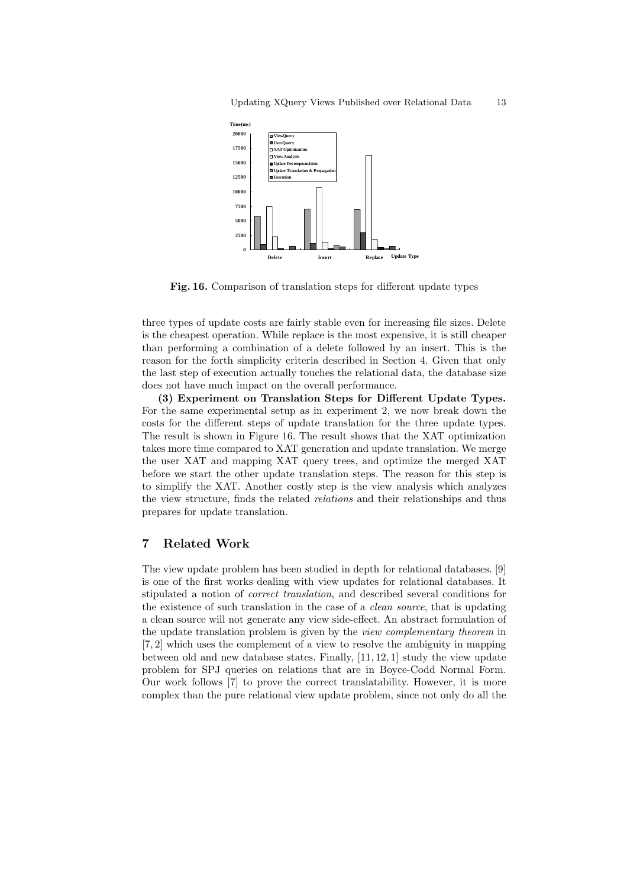

Fig. 16. Comparison of translation steps for different update types

three types of update costs are fairly stable even for increasing file sizes. Delete is the cheapest operation. While replace is the most expensive, it is still cheaper than performing a combination of a delete followed by an insert. This is the reason for the forth simplicity criteria described in Section 4. Given that only the last step of execution actually touches the relational data, the database size does not have much impact on the overall performance.

(3) Experiment on Translation Steps for Different Update Types. For the same experimental setup as in experiment 2, we now break down the costs for the different steps of update translation for the three update types. The result is shown in Figure 16. The result shows that the XAT optimization takes more time compared to XAT generation and update translation. We merge the user XAT and mapping XAT query trees, and optimize the merged XAT before we start the other update translation steps. The reason for this step is to simplify the XAT. Another costly step is the view analysis which analyzes the view structure, finds the related relations and their relationships and thus prepares for update translation.

#### 7 Related Work

The view update problem has been studied in depth for relational databases. [9] is one of the first works dealing with view updates for relational databases. It stipulated a notion of correct translation, and described several conditions for the existence of such translation in the case of a clean source, that is updating a clean source will not generate any view side-effect. An abstract formulation of the update translation problem is given by the view complementary theorem in [7, 2] which uses the complement of a view to resolve the ambiguity in mapping between old and new database states. Finally, [11, 12, 1] study the view update problem for SPJ queries on relations that are in Boyce-Codd Normal Form. Our work follows [7] to prove the correct translatability. However, it is more complex than the pure relational view update problem, since not only do all the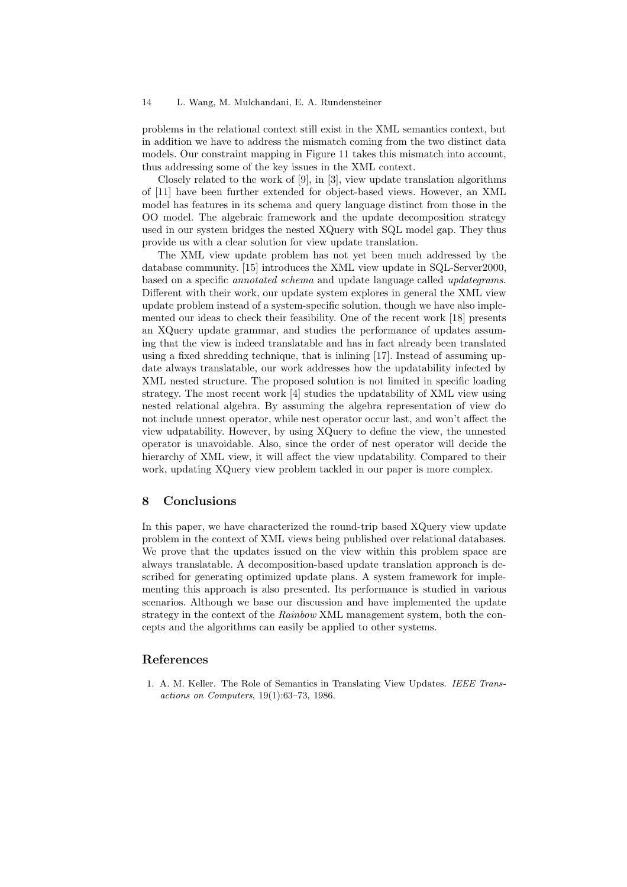#### 14 L. Wang, M. Mulchandani, E. A. Rundensteiner

problems in the relational context still exist in the XML semantics context, but in addition we have to address the mismatch coming from the two distinct data models. Our constraint mapping in Figure 11 takes this mismatch into account, thus addressing some of the key issues in the XML context.

Closely related to the work of [9], in [3], view update translation algorithms of [11] have been further extended for object-based views. However, an XML model has features in its schema and query language distinct from those in the OO model. The algebraic framework and the update decomposition strategy used in our system bridges the nested XQuery with SQL model gap. They thus provide us with a clear solution for view update translation.

The XML view update problem has not yet been much addressed by the database community. [15] introduces the XML view update in SQL-Server2000, based on a specific annotated schema and update language called updategrams. Different with their work, our update system explores in general the XML view update problem instead of a system-specific solution, though we have also implemented our ideas to check their feasibility. One of the recent work [18] presents an XQuery update grammar, and studies the performance of updates assuming that the view is indeed translatable and has in fact already been translated using a fixed shredding technique, that is inlining [17]. Instead of assuming update always translatable, our work addresses how the updatability infected by XML nested structure. The proposed solution is not limited in specific loading strategy. The most recent work [4] studies the updatability of XML view using nested relational algebra. By assuming the algebra representation of view do not include unnest operator, while nest operator occur last, and won't affect the view udpatability. However, by using XQuery to define the view, the unnested operator is unavoidable. Also, since the order of nest operator will decide the hierarchy of XML view, it will affect the view updatability. Compared to their work, updating XQuery view problem tackled in our paper is more complex.

# 8 Conclusions

In this paper, we have characterized the round-trip based XQuery view update problem in the context of XML views being published over relational databases. We prove that the updates issued on the view within this problem space are always translatable. A decomposition-based update translation approach is described for generating optimized update plans. A system framework for implementing this approach is also presented. Its performance is studied in various scenarios. Although we base our discussion and have implemented the update strategy in the context of the Rainbow XML management system, both the concepts and the algorithms can easily be applied to other systems.

#### References

1. A. M. Keller. The Role of Semantics in Translating View Updates. IEEE Transactions on Computers, 19(1):63–73, 1986.